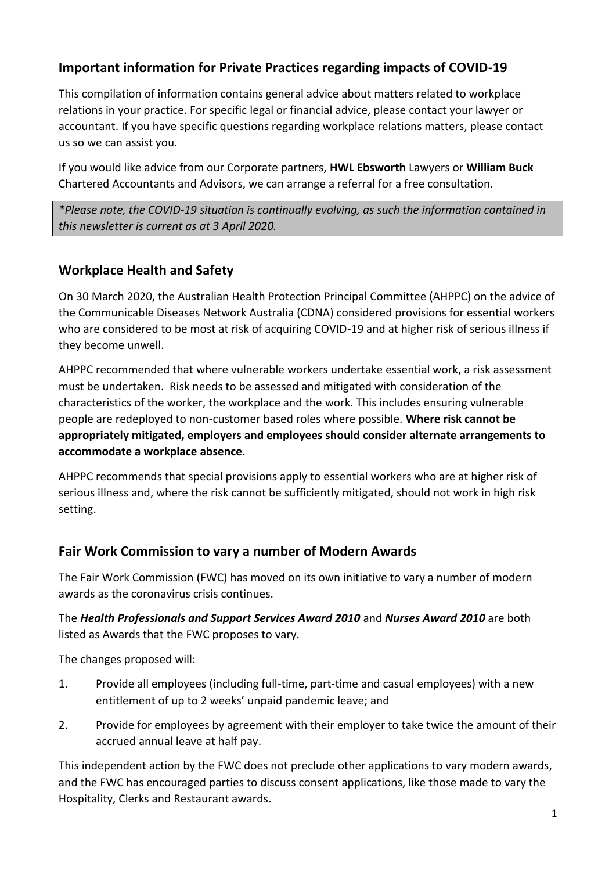# **Important information for Private Practices regarding impacts of COVID-19**

This compilation of information contains general advice about matters related to workplace relations in your practice. For specific legal or financial advice, please contact your lawyer or accountant. If you have specific questions regarding workplace relations matters, please contact us so we can assist you.

If you would like advice from our Corporate partners, **HWL Ebsworth** Lawyers or **William Buck** Chartered Accountants and Advisors, we can arrange a referral for a free consultation.

*\*Please note, the COVID-19 situation is continually evolving, as such the information contained in this newsletter is current as at 3 April 2020.*

# **Workplace Health and Safety**

On 30 March 2020, the Australian Health Protection Principal Committee (AHPPC) on the advice of the Communicable Diseases Network Australia (CDNA) considered provisions for essential workers who are considered to be most at risk of acquiring COVID-19 and at higher risk of serious illness if they become unwell.

AHPPC recommended that where vulnerable workers undertake essential work, a risk assessment must be undertaken. Risk needs to be assessed and mitigated with consideration of the characteristics of the worker, the workplace and the work. This includes ensuring vulnerable people are redeployed to non-customer based roles where possible. **Where risk cannot be appropriately mitigated, employers and employees should consider alternate arrangements to accommodate a workplace absence.**

AHPPC recommends that special provisions apply to essential workers who are at higher risk of serious illness and, where the risk cannot be sufficiently mitigated, should not work in high risk setting.

# **Fair Work Commission to vary a number of Modern Awards**

The Fair Work Commission (FWC) has moved on its own initiative to vary a number of modern awards as the coronavirus crisis continues.

The *Health Professionals and Support Services Award 2010* and *Nurses Award 2010* are both listed as Awards that the FWC proposes to vary.

The changes proposed will:

- 1. Provide all employees (including full-time, part-time and casual employees) with a new entitlement of up to 2 weeks' unpaid pandemic leave; and
- 2. Provide for employees by agreement with their employer to take twice the amount of their accrued annual leave at half pay.

This independent action by the FWC does not preclude other applications to vary modern awards, and the FWC has encouraged parties to discuss consent applications, like those made to vary the Hospitality, Clerks and Restaurant awards.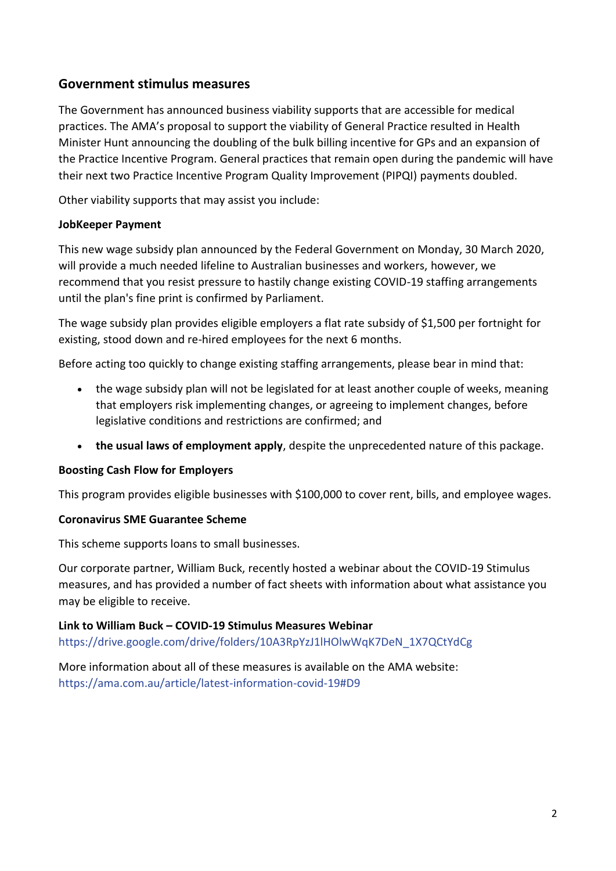### **Government stimulus measures**

The Government has announced business viability supports that are accessible for medical practices. The AMA's proposal to support the viability of General Practice resulted in Health Minister Hunt announcing the doubling of the bulk billing incentive for GPs and an expansion of the Practice Incentive Program. General practices that remain open during the pandemic will have their next two Practice Incentive Program Quality Improvement (PIPQI) payments doubled.

Other viability supports that may assist you include:

#### **JobKeeper Payment**

This new wage subsidy plan announced by the Federal Government on Monday, 30 March 2020, will provide a much needed lifeline to Australian businesses and workers, however, we recommend that you resist pressure to hastily change existing COVID-19 staffing arrangements until the plan's fine print is confirmed by Parliament.

The wage subsidy plan provides eligible employers a flat rate subsidy of \$1,500 per fortnight for existing, stood down and re-hired employees for the next 6 months.

Before acting too quickly to change existing staffing arrangements, please bear in mind that:

- the wage subsidy plan will not be legislated for at least another couple of weeks, meaning that employers risk implementing changes, or agreeing to implement changes, before legislative conditions and restrictions are confirmed; and
- **the usual laws of employment apply**, despite the unprecedented nature of this package.

#### **Boosting Cash Flow for Employers**

This program provides eligible businesses with \$100,000 to cover rent, bills, and employee wages.

#### **Coronavirus SME Guarantee Scheme**

This scheme supports loans to small businesses.

Our corporate partner, William Buck, recently hosted a webinar about the COVID-19 Stimulus measures, and has provided a number of fact sheets with information about what assistance you may be eligible to receive.

#### **Link to William Buck – COVID-19 Stimulus Measures Webinar**

[https://drive.google.com/drive/folders/10A3RpYzJ1lHOlwWqK7DeN\\_1X7QCtYdCg](https://drive.google.com/drive/folders/10A3RpYzJ1lHOlwWqK7DeN_1X7QCtYdCg)

More information about all of these measures is available on the AMA website: <https://ama.com.au/article/latest-information-covid-19#D9>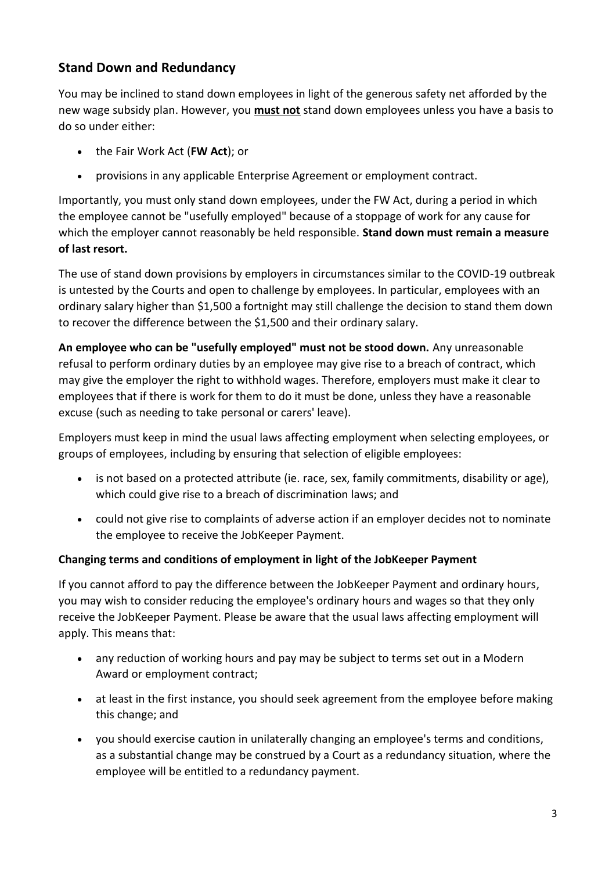# **Stand Down and Redundancy**

You may be inclined to stand down employees in light of the generous safety net afforded by the new wage subsidy plan. However, you **must not** stand down employees unless you have a basis to do so under either:

- the Fair Work Act (**FW Act**); or
- provisions in any applicable Enterprise Agreement or employment contract.

Importantly, you must only stand down employees, under the FW Act, during a period in which the employee cannot be "usefully employed" because of a stoppage of work for any cause for which the employer cannot reasonably be held responsible. **Stand down must remain a measure of last resort.**

The use of stand down provisions by employers in circumstances similar to the COVID-19 outbreak is untested by the Courts and open to challenge by employees. In particular, employees with an ordinary salary higher than \$1,500 a fortnight may still challenge the decision to stand them down to recover the difference between the \$1,500 and their ordinary salary.

**An employee who can be "usefully employed" must not be stood down.** Any unreasonable refusal to perform ordinary duties by an employee may give rise to a breach of contract, which may give the employer the right to withhold wages. Therefore, employers must make it clear to employees that if there is work for them to do it must be done, unless they have a reasonable excuse (such as needing to take personal or carers' leave).

Employers must keep in mind the usual laws affecting employment when selecting employees, or groups of employees, including by ensuring that selection of eligible employees:

- is not based on a protected attribute (ie. race, sex, family commitments, disability or age), which could give rise to a breach of discrimination laws; and
- could not give rise to complaints of adverse action if an employer decides not to nominate the employee to receive the JobKeeper Payment.

### **Changing terms and conditions of employment in light of the JobKeeper Payment**

If you cannot afford to pay the difference between the JobKeeper Payment and ordinary hours, you may wish to consider reducing the employee's ordinary hours and wages so that they only receive the JobKeeper Payment. Please be aware that the usual laws affecting employment will apply. This means that:

- any reduction of working hours and pay may be subject to terms set out in a Modern Award or employment contract;
- at least in the first instance, you should seek agreement from the employee before making this change; and
- you should exercise caution in unilaterally changing an employee's terms and conditions, as a substantial change may be construed by a Court as a redundancy situation, where the employee will be entitled to a redundancy payment.